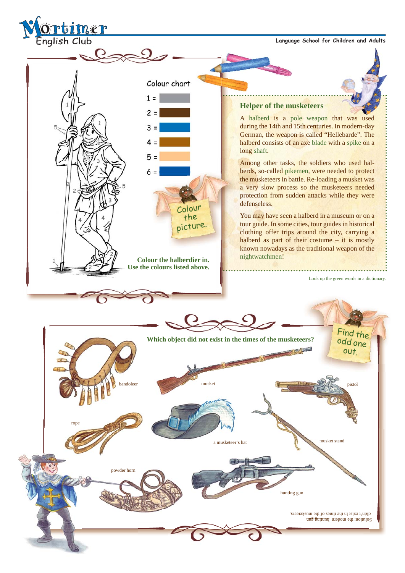